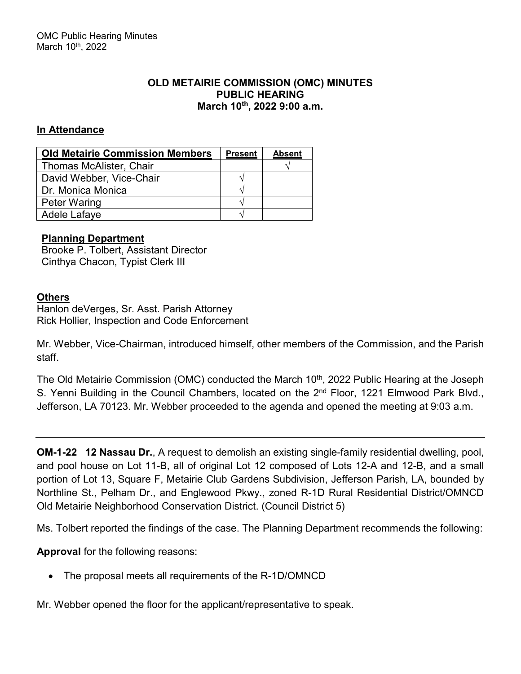## **OLD METAIRIE COMMISSION (OMC) MINUTES PUBLIC HEARING March 10th, 2022 9:00 a.m.**

# **In Attendance**

| <b>Old Metairie Commission Members</b> | <b>Present</b> | <b>Absent</b> |
|----------------------------------------|----------------|---------------|
| Thomas McAlister, Chair                |                |               |
| David Webber, Vice-Chair               |                |               |
| Dr. Monica Monica                      |                |               |
| <b>Peter Waring</b>                    |                |               |
| Adele Lafaye                           |                |               |

## **Planning Department**

Brooke P. Tolbert, Assistant Director Cinthya Chacon, Typist Clerk III

## **Others**

Hanlon deVerges, Sr. Asst. Parish Attorney Rick Hollier, Inspection and Code Enforcement

Mr. Webber, Vice-Chairman, introduced himself, other members of the Commission, and the Parish staff.

The Old Metairie Commission (OMC) conducted the March 10<sup>th</sup>, 2022 Public Hearing at the Joseph S. Yenni Building in the Council Chambers, located on the 2<sup>nd</sup> Floor, 1221 Elmwood Park Blvd., Jefferson, LA 70123. Mr. Webber proceeded to the agenda and opened the meeting at 9:03 a.m.

**OM-1-22 12 Nassau Dr.**, A request to demolish an existing single-family residential dwelling, pool, and pool house on Lot 11-B, all of original Lot 12 composed of Lots 12-A and 12-B, and a small portion of Lot 13, Square F, Metairie Club Gardens Subdivision, Jefferson Parish, LA, bounded by Northline St., Pelham Dr., and Englewood Pkwy., zoned R-1D Rural Residential District/OMNCD Old Metairie Neighborhood Conservation District. (Council District 5)

Ms. Tolbert reported the findings of the case. The Planning Department recommends the following:

**Approval** for the following reasons:

• The proposal meets all requirements of the R-1D/OMNCD

Mr. Webber opened the floor for the applicant/representative to speak.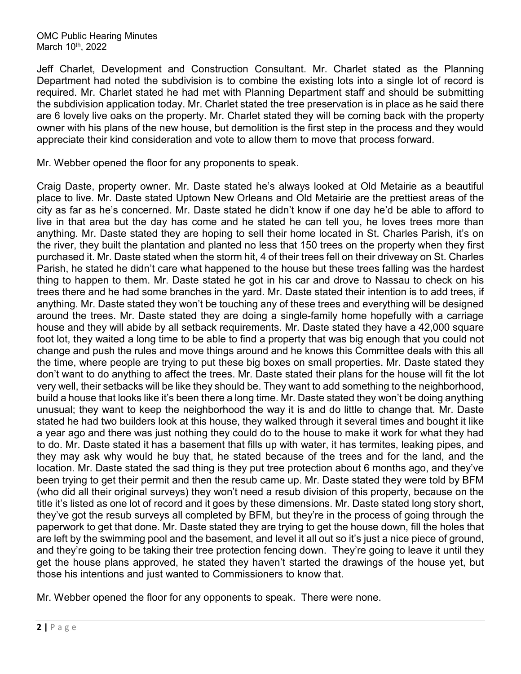Jeff Charlet, Development and Construction Consultant. Mr. Charlet stated as the Planning Department had noted the subdivision is to combine the existing lots into a single lot of record is required. Mr. Charlet stated he had met with Planning Department staff and should be submitting the subdivision application today. Mr. Charlet stated the tree preservation is in place as he said there are 6 lovely live oaks on the property. Mr. Charlet stated they will be coming back with the property owner with his plans of the new house, but demolition is the first step in the process and they would appreciate their kind consideration and vote to allow them to move that process forward.

Mr. Webber opened the floor for any proponents to speak.

Craig Daste, property owner. Mr. Daste stated he's always looked at Old Metairie as a beautiful place to live. Mr. Daste stated Uptown New Orleans and Old Metairie are the prettiest areas of the city as far as he's concerned. Mr. Daste stated he didn't know if one day he'd be able to afford to live in that area but the day has come and he stated he can tell you, he loves trees more than anything. Mr. Daste stated they are hoping to sell their home located in St. Charles Parish, it's on the river, they built the plantation and planted no less that 150 trees on the property when they first purchased it. Mr. Daste stated when the storm hit, 4 of their trees fell on their driveway on St. Charles Parish, he stated he didn't care what happened to the house but these trees falling was the hardest thing to happen to them. Mr. Daste stated he got in his car and drove to Nassau to check on his trees there and he had some branches in the yard. Mr. Daste stated their intention is to add trees, if anything. Mr. Daste stated they won't be touching any of these trees and everything will be designed around the trees. Mr. Daste stated they are doing a single-family home hopefully with a carriage house and they will abide by all setback requirements. Mr. Daste stated they have a 42,000 square foot lot, they waited a long time to be able to find a property that was big enough that you could not change and push the rules and move things around and he knows this Committee deals with this all the time, where people are trying to put these big boxes on small properties. Mr. Daste stated they don't want to do anything to affect the trees. Mr. Daste stated their plans for the house will fit the lot very well, their setbacks will be like they should be. They want to add something to the neighborhood, build a house that looks like it's been there a long time. Mr. Daste stated they won't be doing anything unusual; they want to keep the neighborhood the way it is and do little to change that. Mr. Daste stated he had two builders look at this house, they walked through it several times and bought it like a year ago and there was just nothing they could do to the house to make it work for what they had to do. Mr. Daste stated it has a basement that fills up with water, it has termites, leaking pipes, and they may ask why would he buy that, he stated because of the trees and for the land, and the location. Mr. Daste stated the sad thing is they put tree protection about 6 months ago, and they've been trying to get their permit and then the resub came up. Mr. Daste stated they were told by BFM (who did all their original surveys) they won't need a resub division of this property, because on the title it's listed as one lot of record and it goes by these dimensions. Mr. Daste stated long story short, they've got the resub surveys all completed by BFM, but they're in the process of going through the paperwork to get that done. Mr. Daste stated they are trying to get the house down, fill the holes that are left by the swimming pool and the basement, and level it all out so it's just a nice piece of ground, and they're going to be taking their tree protection fencing down. They're going to leave it until they get the house plans approved, he stated they haven't started the drawings of the house yet, but those his intentions and just wanted to Commissioners to know that.

Mr. Webber opened the floor for any opponents to speak. There were none.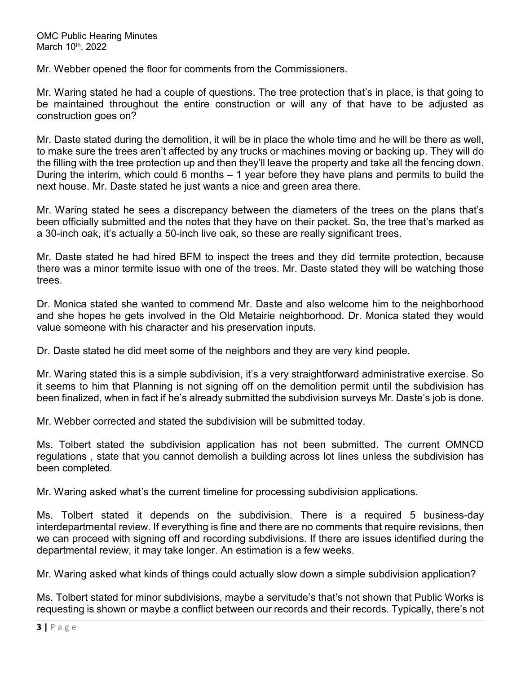Mr. Webber opened the floor for comments from the Commissioners.

Mr. Waring stated he had a couple of questions. The tree protection that's in place, is that going to be maintained throughout the entire construction or will any of that have to be adjusted as construction goes on?

Mr. Daste stated during the demolition, it will be in place the whole time and he will be there as well, to make sure the trees aren't affected by any trucks or machines moving or backing up. They will do the filling with the tree protection up and then they'll leave the property and take all the fencing down. During the interim, which could 6 months – 1 year before they have plans and permits to build the next house. Mr. Daste stated he just wants a nice and green area there.

Mr. Waring stated he sees a discrepancy between the diameters of the trees on the plans that's been officially submitted and the notes that they have on their packet. So, the tree that's marked as a 30-inch oak, it's actually a 50-inch live oak, so these are really significant trees.

Mr. Daste stated he had hired BFM to inspect the trees and they did termite protection, because there was a minor termite issue with one of the trees. Mr. Daste stated they will be watching those trees.

Dr. Monica stated she wanted to commend Mr. Daste and also welcome him to the neighborhood and she hopes he gets involved in the Old Metairie neighborhood. Dr. Monica stated they would value someone with his character and his preservation inputs.

Dr. Daste stated he did meet some of the neighbors and they are very kind people.

Mr. Waring stated this is a simple subdivision, it's a very straightforward administrative exercise. So it seems to him that Planning is not signing off on the demolition permit until the subdivision has been finalized, when in fact if he's already submitted the subdivision surveys Mr. Daste's job is done.

Mr. Webber corrected and stated the subdivision will be submitted today.

Ms. Tolbert stated the subdivision application has not been submitted. The current OMNCD regulations , state that you cannot demolish a building across lot lines unless the subdivision has been completed.

Mr. Waring asked what's the current timeline for processing subdivision applications.

Ms. Tolbert stated it depends on the subdivision. There is a required 5 business-day interdepartmental review. If everything is fine and there are no comments that require revisions, then we can proceed with signing off and recording subdivisions. If there are issues identified during the departmental review, it may take longer. An estimation is a few weeks.

Mr. Waring asked what kinds of things could actually slow down a simple subdivision application?

Ms. Tolbert stated for minor subdivisions, maybe a servitude's that's not shown that Public Works is requesting is shown or maybe a conflict between our records and their records. Typically, there's not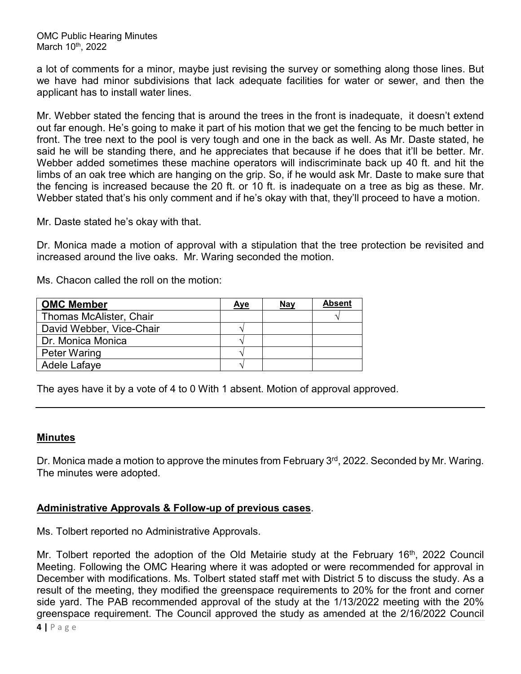OMC Public Hearing Minutes March 10<sup>th</sup>, 2022

a lot of comments for a minor, maybe just revising the survey or something along those lines. But we have had minor subdivisions that lack adequate facilities for water or sewer, and then the applicant has to install water lines.

Mr. Webber stated the fencing that is around the trees in the front is inadequate, it doesn't extend out far enough. He's going to make it part of his motion that we get the fencing to be much better in front. The tree next to the pool is very tough and one in the back as well. As Mr. Daste stated, he said he will be standing there, and he appreciates that because if he does that it'll be better. Mr. Webber added sometimes these machine operators will indiscriminate back up 40 ft. and hit the limbs of an oak tree which are hanging on the grip. So, if he would ask Mr. Daste to make sure that the fencing is increased because the 20 ft. or 10 ft. is inadequate on a tree as big as these. Mr. Webber stated that's his only comment and if he's okay with that, they'll proceed to have a motion.

Mr. Daste stated he's okay with that.

Dr. Monica made a motion of approval with a stipulation that the tree protection be revisited and increased around the live oaks. Mr. Waring seconded the motion.

Ms. Chacon called the roll on the motion:

| <b>OMC Member</b>        | <u>Aye</u> | <b>Nay</b> | <b>Absent</b> |
|--------------------------|------------|------------|---------------|
| Thomas McAlister, Chair  |            |            |               |
| David Webber, Vice-Chair |            |            |               |
| Dr. Monica Monica        |            |            |               |
| <b>Peter Waring</b>      |            |            |               |
| Adele Lafaye             |            |            |               |

The ayes have it by a vote of 4 to 0 With 1 absent. Motion of approval approved.

## **Minutes**

Dr. Monica made a motion to approve the minutes from February 3<sup>rd</sup>, 2022. Seconded by Mr. Waring. The minutes were adopted.

## **Administrative Approvals & Follow-up of previous cases**.

Ms. Tolbert reported no Administrative Approvals.

Mr. Tolbert reported the adoption of the Old Metairie study at the February 16<sup>th</sup>, 2022 Council Meeting. Following the OMC Hearing where it was adopted or were recommended for approval in December with modifications. Ms. Tolbert stated staff met with District 5 to discuss the study. As a result of the meeting, they modified the greenspace requirements to 20% for the front and corner side yard. The PAB recommended approval of the study at the 1/13/2022 meeting with the 20% greenspace requirement. The Council approved the study as amended at the 2/16/2022 Council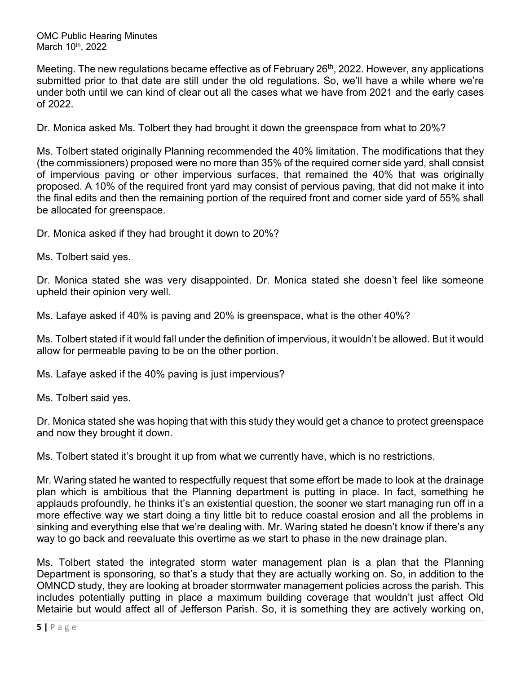OMC Public Hearing Minutes March 10<sup>th</sup>, 2022

Meeting. The new regulations became effective as of February 26<sup>th</sup>, 2022. However, any applications submitted prior to that date are still under the old regulations. So, we'll have a while where we're under both until we can kind of clear out all the cases what we have from 2021 and the early cases of 2022.

Dr. Monica asked Ms. Tolbert they had brought it down the greenspace from what to 20%?

Ms. Tolbert stated originally Planning recommended the 40% limitation. The modifications that they (the commissioners) proposed were no more than 35% of the required corner side yard, shall consist of impervious paving or other impervious surfaces, that remained the 40% that was originally proposed. A 10% of the required front yard may consist of pervious paving, that did not make it into the final edits and then the remaining portion of the required front and corner side yard of 55% shall be allocated for greenspace.

Dr. Monica asked if they had brought it down to 20%?

Ms. Tolbert said yes.

Dr. Monica stated she was very disappointed. Dr. Monica stated she doesn't feel like someone upheld their opinion very well.

Ms. Lafaye asked if 40% is paving and 20% is greenspace, what is the other 40%?

Ms. Tolbert stated if it would fall under the definition of impervious, it wouldn't be allowed. But it would allow for permeable paving to be on the other portion.

Ms. Lafaye asked if the 40% paving is just impervious?

Ms. Tolbert said yes.

Dr. Monica stated she was hoping that with this study they would get a chance to protect greenspace and now they brought it down.

Ms. Tolbert stated it's brought it up from what we currently have, which is no restrictions.

Mr. Waring stated he wanted to respectfully request that some effort be made to look at the drainage plan which is ambitious that the Planning department is putting in place. In fact, something he applauds profoundly, he thinks it's an existential question, the sooner we start managing run off in a more effective way we start doing a tiny little bit to reduce coastal erosion and all the problems in sinking and everything else that we're dealing with. Mr. Waring stated he doesn't know if there's any way to go back and reevaluate this overtime as we start to phase in the new drainage plan.

Ms. Tolbert stated the integrated storm water management plan is a plan that the Planning Department is sponsoring, so that's a study that they are actually working on. So, in addition to the OMNCD study, they are looking at broader stormwater management policies across the parish. This includes potentially putting in place a maximum building coverage that wouldn't just affect Old Metairie but would affect all of Jefferson Parish. So, it is something they are actively working on,